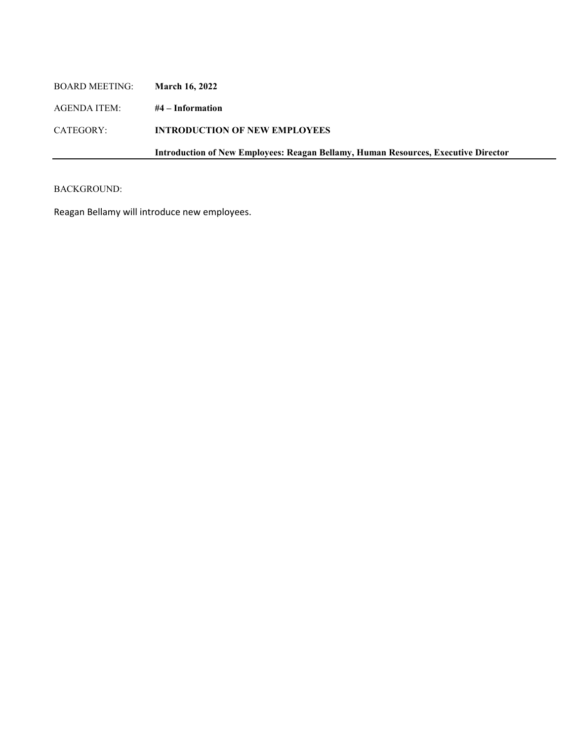| <b>BOARD MEETING:</b> | <b>March 16, 2022</b>                                                                     |
|-----------------------|-------------------------------------------------------------------------------------------|
| AGENDA ITEM:          | #4 – Information                                                                          |
| CATEGORY:             | <b>INTRODUCTION OF NEW EMPLOYEES</b>                                                      |
|                       | <b>Introduction of New Employees: Reagan Bellamy, Human Resources, Executive Director</b> |
|                       |                                                                                           |

## BACKGROUND:

Reagan Bellamy will introduce new employees.